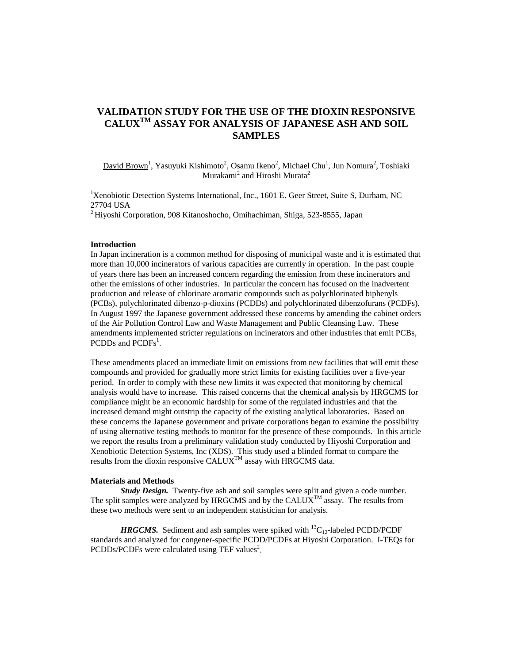# **VALIDATION STUDY FOR THE USE OF THE DIOXIN RESPONSIVE CALUXTM ASSAY FOR ANALYSIS OF JAPANESE ASH AND SOIL SAMPLES**

David Brown<sup>1</sup>, Yasuyuki Kishimoto<sup>2</sup>, Osamu Ikeno<sup>2</sup>, Michael Chu<sup>1</sup>, Jun Nomura<sup>2</sup>, Toshiaki  $M$ urakami $^2$  and Hiroshi Murata $^2$ 

<sup>1</sup>Xenobiotic Detection Systems International, Inc., 1601 E. Geer Street, Suite S, Durham, NC 27704 USA

 $^{2}$ Hiyoshi Corporation, 908 Kitanoshocho, Omihachiman, Shiga, 523-8555, Japan

### **Introduction**

In Japan incineration is a common method for disposing of municipal waste and it is estimated that more than 10,000 incinerators of various capacities are currently in operation. In the past couple of years there has been an increased concern regarding the emission from these incinerators and other the emissions of other industries. In particular the concern has focused on the inadvertent production and release of chlorinate aromatic compounds such as polychlorinated biphenyls (PCBs), polychlorinated dibenzo-p-dioxins (PCDDs) and polychlorinated dibenzofurans (PCDFs). In August 1997 the Japanese government addressed these concerns by amending the cabinet orders of the Air Pollution Control Law and Waste Management and Public Cleansing Law. These amendments implemented stricter regulations on incinerators and other industries that emit PCBs, PCDDs and PCDFs<sup>1</sup>.

These amendments placed an immediate limit on emissions from new facilities that will emit these compounds and provided for gradually more strict limits for existing facilities over a five-year period. In order to comply with these new limits it was expected that monitoring by chemical analysis would have to increase. This raised concerns that the chemical analysis by HRGCMS for compliance might be an economic hardship for some of the regulated industries and that the increased demand might outstrip the capacity of the existing analytical laboratories. Based on these concerns the Japanese government and private corporations began to examine the possibility of using alternative testing methods to monitor for the presence of these compounds. In this article we report the results from a preliminary validation study conducted by Hiyoshi Corporation and Xenobiotic Detection Systems, Inc (XDS). This study used a blinded format to compare the results from the dioxin responsive  $CALUX^{TM}$  assay with HRGCMS data.

## **Materials and Methods**

**Study Design.** Twenty-five ash and soil samples were split and given a code number. The split samples were analyzed by HRGCMS and by the CALUX<sup>TM</sup> assay. The results from these two methods were sent to an independent statistician for analysis.

*HRGCMS.* Sediment and ash samples were spiked with  ${}^{13}C_{12}$ -labeled PCDD/PCDF standards and analyzed for congener-specific PCDD/PCDFs at Hiyoshi Corporation. I-TEQs for PCDDs/PCDFs were calculated using TEF values<sup>2</sup>.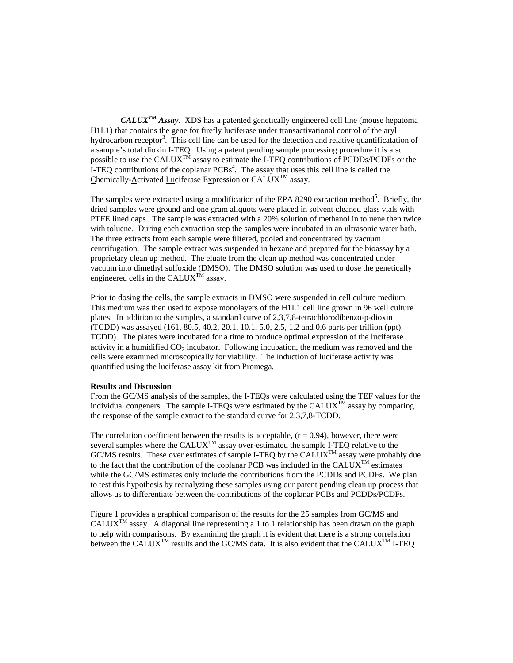*CALUXTM Assay*. XDS has a patented genetically engineered cell line (mouse hepatoma H1L1) that contains the gene for firefly luciferase under transactivational control of the aryl hydrocarbon receptor<sup>3</sup>. This cell line can be used for the detection and relative quantificatation of a sample's total dioxin I-TEQ. Using a patent pending sample processing procedure it is also possible to use the CALUX<sup>TM</sup> assay to estimate the I-TEQ contributions of PCDDs/PCDFs or the I-TEQ contributions of the coplanar  $PCBs<sup>4</sup>$ . The assay that uses this cell line is called the Chemically-Activated Luciferase Expression or  $CALUX^{TM}$  assay.

The samples were extracted using a modification of the EPA 8290 extraction method<sup>5</sup>. Briefly, the dried samples were ground and one gram aliquots were placed in solvent cleaned glass vials with PTFE lined caps. The sample was extracted with a 20% solution of methanol in toluene then twice with toluene. During each extraction step the samples were incubated in an ultrasonic water bath. The three extracts from each sample were filtered, pooled and concentrated by vacuum centrifugation. The sample extract was suspended in hexane and prepared for the bioassay by a proprietary clean up method. The eluate from the clean up method was concentrated under vacuum into dimethyl sulfoxide (DMSO). The DMSO solution was used to dose the genetically engineered cells in the CALUX<sup>TM</sup> assav.

Prior to dosing the cells, the sample extracts in DMSO were suspended in cell culture medium. This medium was then used to expose monolayers of the H1L1 cell line grown in 96 well culture plates. In addition to the samples, a standard curve of 2,3,7,8-tetrachlorodibenzo-p-dioxin (TCDD) was assayed (161, 80.5, 40.2, 20.1, 10.1, 5.0, 2.5, 1.2 and 0.6 parts per trillion (ppt) TCDD). The plates were incubated for a time to produce optimal expression of the luciferase activity in a humidified  $CO<sub>2</sub>$  incubator. Following incubation, the medium was removed and the cells were examined microscopically for viability. The induction of luciferase activity was quantified using the luciferase assay kit from Promega.

#### **Results and Discussion**

From the GC/MS analysis of the samples, the I-TEQs were calculated using the TEF values for the individual congeners. The sample I-TEQs were estimated by the  $CALUX^{TM}$  assay by comparing the response of the sample extract to the standard curve for 2,3,7,8-TCDD.

The correlation coefficient between the results is acceptable,  $(r = 0.94)$ , however, there were several samples where the  $\text{CALUX}^{\text{TM}}$  assay over-estimated the sample I-TEQ relative to the  $GCMS$  results. These over estimates of sample I-TEQ by the  $CALUX^{TM}$  assay were probably due to the fact that the contribution of the coplanar PCB was included in the CALUX<sup>TM</sup> estimates while the GC/MS estimates only include the contributions from the PCDDs and PCDFs. We plan to test this hypothesis by reanalyzing these samples using our patent pending clean up process that allows us to differentiate between the contributions of the coplanar PCBs and PCDDs/PCDFs.

Figure 1 provides a graphical comparison of the results for the 25 samples from GC/MS and CALUX<sup>TM</sup> assay. A diagonal line representing a 1 to 1 relationship has been drawn on the graph to help with comparisons. By examining the graph it is evident that there is a strong correlation between the CALUX<sup>TM</sup> results and the GC/MS data. It is also evident that the CALUX<sup>TM</sup> I-TEO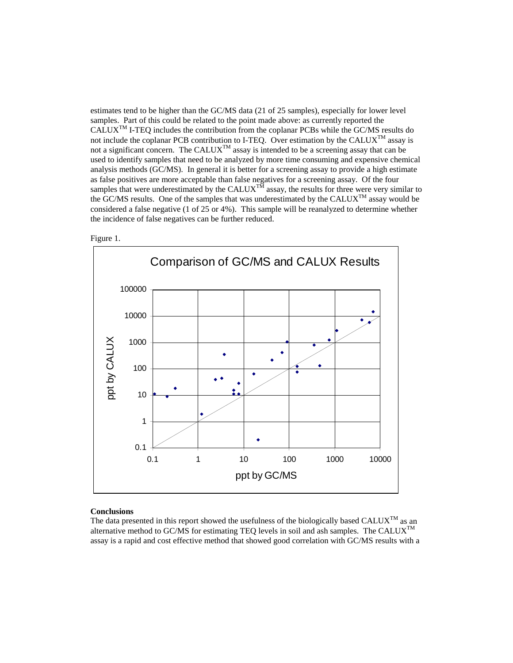estimates tend to be higher than the GC/MS data (21 of 25 samples), especially for lower level samples. Part of this could be related to the point made above: as currently reported the  $CALUX^{TM}$  I-TEO includes the contribution from the coplanar PCBs while the GC/MS results do not include the coplanar PCB contribution to I-TEQ. Over estimation by the CALUX<sup>TM</sup> assay is not a significant concern. The CALUX<sup>TM</sup> assay is intended to be a screening assay that can be used to identify samples that need to be analyzed by more time consuming and expensive chemical analysis methods (GC/MS). In general it is better for a screening assay to provide a high estimate as false positives are more acceptable than false negatives for a screening assay. Of the four samples that were underestimated by the CALUX<sup>TM</sup> assay, the results for three were very similar to the GC/MS results. One of the samples that was underestimated by the CALUXTM assay would be considered a false negative (1 of 25 or 4%). This sample will be reanalyzed to determine whether the incidence of false negatives can be further reduced.





## **Conclusions**

The data presented in this report showed the usefulness of the biologically based CALUX<sup>TM</sup> as an alternative method to GC/MS for estimating TEQ levels in soil and ash samples. The CALUX<sup>TM</sup> assay is a rapid and cost effective method that showed good correlation with GC/MS results with a